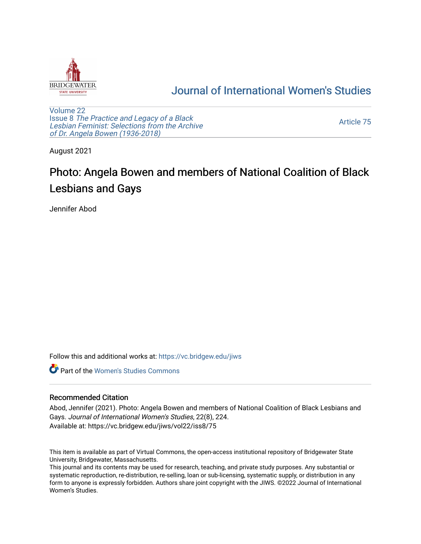

## [Journal of International Women's Studies](https://vc.bridgew.edu/jiws)

[Volume 22](https://vc.bridgew.edu/jiws/vol22) Issue 8 [The Practice and Legacy of a Black](https://vc.bridgew.edu/jiws/vol22/iss8)  [Lesbian Feminist: Selections from the Archive](https://vc.bridgew.edu/jiws/vol22/iss8)  [of Dr. Angela Bowen \(1936-2018\)](https://vc.bridgew.edu/jiws/vol22/iss8)

[Article 75](https://vc.bridgew.edu/jiws/vol22/iss8/75) 

August 2021

## Photo: Angela Bowen and members of National Coalition of Black Lesbians and Gays

Jennifer Abod

Follow this and additional works at: [https://vc.bridgew.edu/jiws](https://vc.bridgew.edu/jiws?utm_source=vc.bridgew.edu%2Fjiws%2Fvol22%2Fiss8%2F75&utm_medium=PDF&utm_campaign=PDFCoverPages)

**C** Part of the Women's Studies Commons

## Recommended Citation

Abod, Jennifer (2021). Photo: Angela Bowen and members of National Coalition of Black Lesbians and Gays. Journal of International Women's Studies, 22(8), 224. Available at: https://vc.bridgew.edu/jiws/vol22/iss8/75

This item is available as part of Virtual Commons, the open-access institutional repository of Bridgewater State University, Bridgewater, Massachusetts.

This journal and its contents may be used for research, teaching, and private study purposes. Any substantial or systematic reproduction, re-distribution, re-selling, loan or sub-licensing, systematic supply, or distribution in any form to anyone is expressly forbidden. Authors share joint copyright with the JIWS. ©2022 Journal of International Women's Studies.